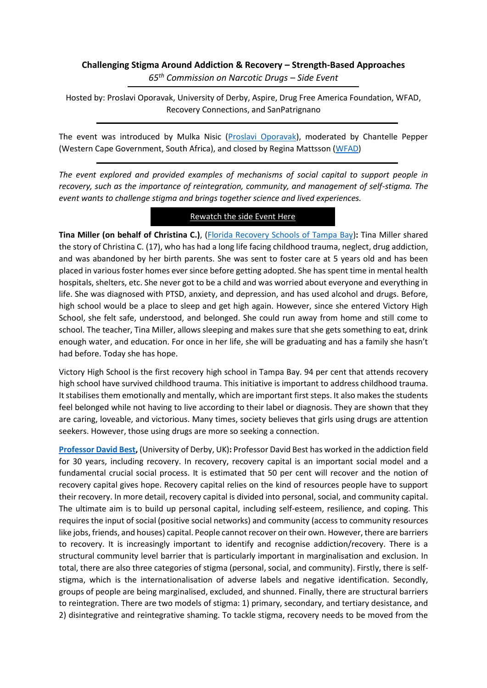## **Challenging Stigma Around Addiction & Recovery – Strength-Based Approaches** *65th Commission on Narcotic Drugs – Side Event*

Hosted by: Proslavi Oporavak, University of Derby, Aspire, Drug Free America Foundation, WFAD, Recovery Connections, and SanPatrignano

The event was introduced by Mulka Nisic [\(Proslavi Oporavak\)](https://proslavi-oporavak.ba/), moderated by Chantelle Pepper (Western Cape Government, South Africa), and closed by Regina Mattsson [\(WFAD\)](https://wfad.se/)

*The event explored and provided examples of mechanisms of social capital to support people in recovery, such as the importance of reintegration, community, and management of self-stigma. The event wants to challenge stigma and brings together science and lived experiences.* 

## [Rewatch the side Event Here](https://www.youtube.com/watch?v=92l-uRRV29o)

**Tina Miller (on behalf of Christina C.)**, [\(Florida Recovery Schools of Tampa Bay\)](https://www.floridarecoveryschoolsoftampabay.com/)**:** Tina Miller shared the story of Christina C. (17), who has had a long life facing childhood trauma, neglect, drug addiction, and was abandoned by her birth parents. She was sent to foster care at 5 years old and has been placed in various foster homes ever since before getting adopted. She has spent time in mental health hospitals, shelters, etc. She never got to be a child and was worried about everyone and everything in life. She was diagnosed with PTSD, anxiety, and depression, and has used alcohol and drugs. Before, high school would be a place to sleep and get high again. However, since she entered Victory High School, she felt safe, understood, and belonged. She could run away from home and still come to school. The teacher, Tina Miller, allows sleeping and makes sure that she gets something to eat, drink enough water, and education. For once in her life, she will be graduating and has a family she hasn't had before. Today she has hope.

Victory High School is the first recovery high school in Tampa Bay. 94 per cent that attends recovery high school have survived childhood trauma. This initiative is important to address childhood trauma. It stabilises them emotionally and mentally, which are important first steps. It also makes the students feel belonged while not having to live according to their label or diagnosis. They are shown that they are caring, loveable, and victorious. Many times, society believes that girls using drugs are attention seekers. However, those using drugs are more so seeking a connection.

**[Professor David Best,](https://wfad.se/wp-content/uploads/2022/03/CND-stigma-presentations-2022-david-best-.pdf)** (University of Derby, UK)**:** Professor David Best has worked in the addiction field for 30 years, including recovery. In recovery, recovery capital is an important social model and a fundamental crucial social process. It is estimated that 50 per cent will recover and the notion of recovery capital gives hope. Recovery capital relies on the kind of resources people have to support their recovery. In more detail, recovery capital is divided into personal, social, and community capital. The ultimate aim is to build up personal capital, including self-esteem, resilience, and coping. This requires the input of social (positive social networks) and community (access to community resources like jobs, friends, and houses) capital. People cannot recover on their own. However, there are barriers to recovery. It is increasingly important to identify and recognise addiction/recovery. There is a structural community level barrier that is particularly important in marginalisation and exclusion. In total, there are also three categories of stigma (personal, social, and community). Firstly, there is selfstigma, which is the internationalisation of adverse labels and negative identification. Secondly, groups of people are being marginalised, excluded, and shunned. Finally, there are structural barriers to reintegration. There are two models of stigma: 1) primary, secondary, and tertiary desistance, and 2) disintegrative and reintegrative shaming. To tackle stigma, recovery needs to be moved from the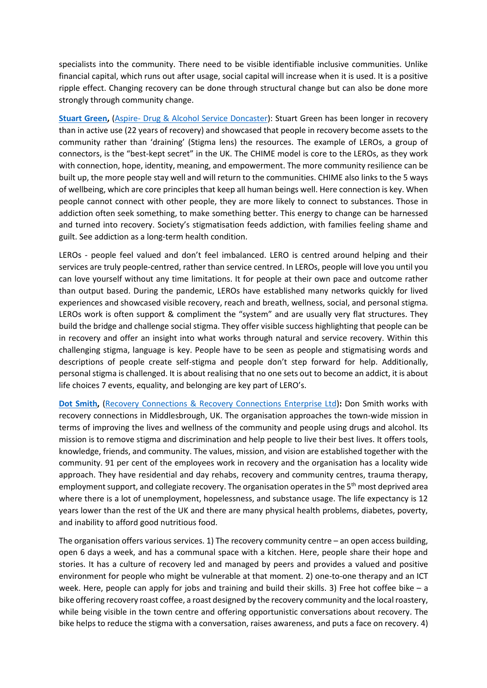specialists into the community. There need to be visible identifiable inclusive communities. Unlike financial capital, which runs out after usage, social capital will increase when it is used. It is a positive ripple effect. Changing recovery can be done through structural change but can also be done more strongly through community change.

**[Stuart Green,](https://wfad.se/wp-content/uploads/2022/03/Stuart-Green-LEROs.pdf)** (Aspire- [Drug & Alcohol Service Doncaster\)](https://www.aspire.community/): Stuart Green has been longer in recovery than in active use (22 years of recovery) and showcased that people in recovery become assets to the community rather than 'draining' (Stigma lens) the resources. The example of LEROs, a group of connectors, is the "best-kept secret" in the UK. The CHIME model is core to the LEROs, as they work with connection, hope, identity, meaning, and empowerment. The more community resilience can be built up, the more people stay well and will return to the communities. CHIME also links to the 5 ways of wellbeing, which are core principles that keep all human beings well. Here connection is key. When people cannot connect with other people, they are more likely to connect to substances. Those in addiction often seek something, to make something better. This energy to change can be harnessed and turned into recovery. Society's stigmatisation feeds addiction, with families feeling shame and guilt. See addiction as a long-term health condition.

LEROs - people feel valued and don't feel imbalanced. LERO is centred around helping and their services are truly people-centred, rather than service centred. In LEROs, people will love you until you can love yourself without any time limitations. It for people at their own pace and outcome rather than output based. During the pandemic, LEROs have established many networks quickly for lived experiences and showcased visible recovery, reach and breath, wellness, social, and personal stigma. LEROs work is often support & compliment the "system" and are usually very flat structures. They build the bridge and challenge social stigma. They offer visible success highlighting that people can be in recovery and offer an insight into what works through natural and service recovery. Within this challenging stigma, language is key. People have to be seen as people and stigmatising words and descriptions of people create self-stigma and people don't step forward for help. Additionally, personal stigma is challenged. It is about realising that no one sets out to become an addict, it is about life choices 7 events, equality, and belonging are key part of LERO's.

**[Dot Smith,](https://wfad.se/wp-content/uploads/2022/03/UNODC-ppt-Dot-Smith.pdf)** [\(Recovery Connections & Recovery Connections Enterprise Ltd\)](https://www.recoveryconnections.org.uk/): Don Smith works with recovery connections in Middlesbrough, UK. The organisation approaches the town-wide mission in terms of improving the lives and wellness of the community and people using drugs and alcohol. Its mission is to remove stigma and discrimination and help people to live their best lives. It offers tools, knowledge, friends, and community. The values, mission, and vision are established together with the community. 91 per cent of the employees work in recovery and the organisation has a locality wide approach. They have residential and day rehabs, recovery and community centres, trauma therapy, employment support, and collegiate recovery. The organisation operates in the 5<sup>th</sup> most deprived area where there is a lot of unemployment, hopelessness, and substance usage. The life expectancy is 12 years lower than the rest of the UK and there are many physical health problems, diabetes, poverty, and inability to afford good nutritious food.

The organisation offers various services. 1) The recovery community centre – an open access building, open 6 days a week, and has a communal space with a kitchen. Here, people share their hope and stories. It has a culture of recovery led and managed by peers and provides a valued and positive environment for people who might be vulnerable at that moment. 2) one-to-one therapy and an ICT week. Here, people can apply for jobs and training and build their skills. 3) Free hot coffee bike – a bike offering recovery roast coffee, a roast designed by the recovery community and the local roastery, while being visible in the town centre and offering opportunistic conversations about recovery. The bike helps to reduce the stigma with a conversation, raises awareness, and puts a face on recovery. 4)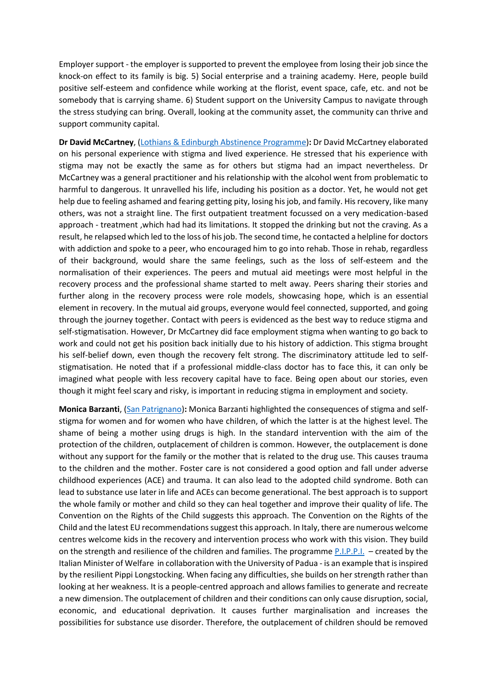Employer support - the employer is supported to prevent the employee from losing their job since the knock-on effect to its family is big. 5) Social enterprise and a training academy. Here, people build positive self-esteem and confidence while working at the florist, event space, cafe, etc. and not be somebody that is carrying shame. 6) Student support on the University Campus to navigate through the stress studying can bring. Overall, looking at the community asset, the community can thrive and support community capital.

**Dr David McCartney**, (Lothians & Edinburgh [Abstinence Programme\)](https://services.nhslothian.scot/leap/Pages/default.aspx)**:** Dr David McCartney elaborated on his personal experience with stigma and lived experience. He stressed that his experience with stigma may not be exactly the same as for others but stigma had an impact nevertheless. Dr McCartney was a general practitioner and his relationship with the alcohol went from problematic to harmful to dangerous. It unravelled his life, including his position as a doctor. Yet, he would not get help due to feeling ashamed and fearing getting pity, losing his job, and family. His recovery, like many others, was not a straight line. The first outpatient treatment focussed on a very medication-based approach - treatment ,which had had its limitations. It stopped the drinking but not the craving. As a result, he relapsed which led to the loss of his job. The second time, he contacted a helpline for doctors with addiction and spoke to a peer, who encouraged him to go into rehab. Those in rehab, regardless of their background, would share the same feelings, such as the loss of self-esteem and the normalisation of their experiences. The peers and mutual aid meetings were most helpful in the recovery process and the professional shame started to melt away. Peers sharing their stories and further along in the recovery process were role models, showcasing hope, which is an essential element in recovery. In the mutual aid groups, everyone would feel connected, supported, and going through the journey together. Contact with peers is evidenced as the best way to reduce stigma and self-stigmatisation. However, Dr McCartney did face employment stigma when wanting to go back to work and could not get his position back initially due to his history of addiction. This stigma brought his self-belief down, even though the recovery felt strong. The discriminatory attitude led to selfstigmatisation. He noted that if a professional middle-class doctor has to face this, it can only be imagined what people with less recovery capital have to face. Being open about our stories, even though it might feel scary and risky, is important in reducing stigma in employment and society.

**Monica Barzanti**, [\(San Patrignano\)](https://www.sanpatrignano.org/en/)**:** Monica Barzanti highlighted the consequences of stigma and selfstigma for women and for women who have children, of which the latter is at the highest level. The shame of being a mother using drugs is high. In the standard intervention with the aim of the protection of the children, outplacement of children is common. However, the outplacement is done without any support for the family or the mother that is related to the drug use. This causes trauma to the children and the mother. Foster care is not considered a good option and fall under adverse childhood experiences (ACE) and trauma. It can also lead to the adopted child syndrome. Both can lead to substance use later in life and ACEs can become generational. The best approach is to support the whole family or mother and child so they can heal together and improve their quality of life. The Convention on the Rights of the Child suggests this approach. The Convention on the Rights of the Child and the latest EU recommendations suggest this approach. In Italy, there are numerous welcome centres welcome kids in the recovery and intervention process who work with this vision. They build on the strength and resilience of the children and families. The programme [P.I.P.P.I.](https://www.minori.gov.it/en/ricerca-guidata?f%5B0%5D=field_attivita%3A1323) – created by the Italian Minister of Welfare in collaboration with the University of Padua - is an example that is inspired by the resilient Pippi Longstocking. When facing any difficulties, she builds on her strength rather than looking at her weakness. It is a people-centred approach and allows families to generate and recreate a new dimension. The outplacement of children and their conditions can only cause disruption, social, economic, and educational deprivation. It causes further marginalisation and increases the possibilities for substance use disorder. Therefore, the outplacement of children should be removed